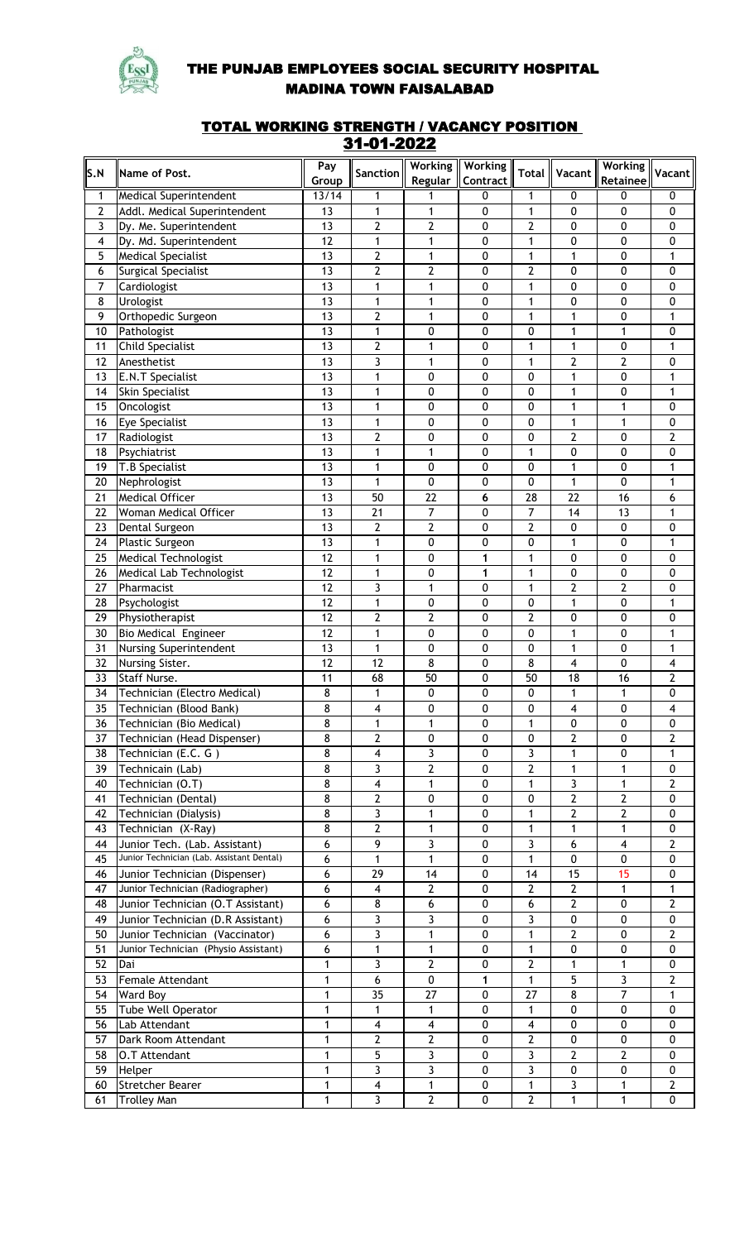

## THE PUNJAB EMPLOYEES SOCIAL SECURITY HOSPITAL MADINA TOWN FAISALABAD

## TOTAL WORKING STRENGTH / VACANCY POSITION 31-01-2022

| S.N            |                                           | Pay             |                              | Working                      | <b>Working</b> |                              |                         | <b>Working</b>          |                     |
|----------------|-------------------------------------------|-----------------|------------------------------|------------------------------|----------------|------------------------------|-------------------------|-------------------------|---------------------|
|                | Name of Post.                             | Group           | Sanction                     | Regular                      | Contract       | <b>Total</b>                 | Vacant                  | Retainee                | Vacant              |
| 1              | <b>Medical Superintendent</b>             | 13/14           | 1                            | 1                            | 0              | 1                            | 0                       | 0                       | 0                   |
| $\overline{2}$ | Addl. Medical Superintendent              | 13              | 1                            | $\mathbf{1}$                 | 0              | $\mathbf{1}$                 | 0                       | 0                       | 0                   |
| 3              | Dy. Me. Superintendent                    | 13              | $\overline{2}$               | $\overline{2}$               | 0              | $\overline{2}$               | 0                       | 0                       | 0                   |
| 4              | Dy. Md. Superintendent                    | 12              | $\mathbf{1}$                 | $\mathbf{1}$                 | 0              | $\mathbf{1}$                 | 0                       | 0                       | $\pmb{0}$           |
| 5              | <b>Medical Specialist</b>                 | 13              | $\overline{2}$               | $\mathbf{1}$                 | 0              | 1                            | 1                       | 0                       | $\mathbf{1}$        |
| 6              | Surgical Specialist                       | 13              | $\overline{2}$               | $\overline{2}$               | 0              | $\overline{2}$               | 0                       | 0                       | $\pmb{0}$           |
| $\overline{7}$ | Cardiologist                              | 13              | 1                            | $\mathbf{1}$                 | 0              | $\mathbf{1}$                 | 0                       | $\pmb{0}$               | 0                   |
| 8              | Urologist                                 | 13              | $\mathbf{1}$                 | $\mathbf{1}$                 | 0              | 1                            | 0                       | $\pmb{0}$               | $\pmb{0}$           |
| 9              | Orthopedic Surgeon                        | 13              | $\overline{2}$               | $\mathbf{1}$                 | 0              | 1                            | $\mathbf{1}$            | 0                       | $\mathbf{1}$        |
| 10             | Pathologist                               | 13              | $\mathbf{1}$                 | $\mathbf 0$                  | 0              | 0                            | 1                       | 1                       | 0                   |
| 11             | <b>Child Specialist</b>                   | 13              | $\overline{\mathbf{c}}$      | $\mathbf{1}$                 | 0              | 1                            | $\mathbf{1}$            | 0                       | $\mathbf{1}$        |
| 12             | Anesthetist                               | 13              | $\overline{\mathbf{3}}$      | $\mathbf{1}$                 | 0              | 1                            | 2                       | $\overline{2}$          | $\pmb{0}$           |
| 13<br>14       | <b>E.N.T Specialist</b>                   | 13<br>13        | 1<br>1                       | 0<br>0                       | 0<br>0         | 0<br>0                       | 1<br>1                  | 0<br>0                  | $\mathbf{1}$<br>1   |
| 15             | <b>Skin Specialist</b><br>Oncologist      | 13              | 1                            | 0                            | 0              | 0                            | 1                       | $\mathbf{1}$            | $\pmb{0}$           |
| 16             | <b>Eye Specialist</b>                     | 13              | 1                            | 0                            | 0              | 0                            | 1                       | 1                       | $\pmb{0}$           |
| 17             | Radiologist                               | 13              | $\overline{\mathbf{c}}$      | 0                            | 0              | 0                            | $\overline{2}$          | 0                       | $\overline{2}$      |
| 18             | Psychiatrist                              | 13              | 1                            | $\mathbf{1}$                 | 0              | $\mathbf{1}$                 | 0                       | 0                       | 0                   |
| 19             | T.B Specialist                            | 13              | 1                            | 0                            | 0              | 0                            | $\mathbf{1}$            | 0                       | $\mathbf{1}$        |
| 20             | Nephrologist                              | 13              | 1                            | 0                            | 0              | 0                            | 1                       | 0                       | $\mathbf{1}$        |
| 21             | <b>Medical Officer</b>                    | $\overline{13}$ | 50                           | 22                           | 6              | $\overline{28}$              | 22                      | 16                      | 6                   |
| 22             | Woman Medical Officer                     | $\overline{13}$ | $\overline{21}$              | $\overline{7}$               | 0              | $\overline{7}$               | 14                      | 13                      | $\mathbf{1}$        |
| 23             | Dental Surgeon                            | $\overline{13}$ | $\overline{2}$               | $\overline{2}$               | 0              | $\overline{2}$               | 0                       | 0                       | 0                   |
| 24             | Plastic Surgeon                           | 13              | $\mathbf{1}$                 | 0                            | 0              | 0                            | 1                       | 0                       | $\mathbf{1}$        |
| 25             | <b>Medical Technologist</b>               | 12              | 1                            | 0                            | 1              | $\mathbf{1}$                 | 0                       | 0                       | $\pmb{0}$           |
| 26             | Medical Lab Technologist                  | 12              | 1                            | 0                            | 1              | $\mathbf{1}$                 | 0                       | 0                       | 0                   |
| 27             | Pharmacist                                | 12              | $\overline{\mathbf{3}}$      | $\mathbf{1}$                 | 0              | $\mathbf{1}$                 | $\overline{2}$          | $\overline{2}$          | 0                   |
| 28             | Psychologist                              | $\overline{12}$ | $\mathbf{1}$                 | $\pmb{0}$                    | 0              | 0                            | $\mathbf{1}$            | 0                       | $\mathbf{1}$        |
| 29             | Physiotherapist                           | 12              | $\overline{2}$               | $\overline{2}$               | 0              | $\overline{2}$               | 0                       | 0                       | $\pmb{0}$           |
| 30             | <b>Bio Medical Engineer</b>               | 12              | $\mathbf{1}$                 | 0                            | 0              | 0                            | 1                       | 0                       | $\mathbf{1}$        |
| 31             | Nursing Superintendent                    | 13              | 1                            | 0                            | 0              | 0                            | 1                       | 0                       | $\mathbf{1}$        |
| 32             | Nursing Sister.                           | 12              | 12                           | 8                            | $\pmb{0}$      | 8                            | $\overline{\mathbf{4}}$ | $\pmb{0}$               | 4                   |
| 33             | Staff Nurse.                              | 11              | 68                           | 50                           | 0              | 50                           | 18                      | 16                      | $\mathbf{2}$        |
| 34             | Technician (Electro Medical)              | 8               | 1                            | 0                            | 0              | 0                            | 1                       | 1                       | 0                   |
| 35             | Technician (Blood Bank)                   | 8               | 4                            | 0                            | 0              | 0                            | 4                       | 0                       | 4                   |
| 36             | Technician (Bio Medical)                  | 8               | $\mathbf{1}$                 | $\mathbf{1}$                 | 0              | 1                            | 0                       | 0                       | $\mathbf{0}$        |
| 37             | Technician (Head Dispenser)               | 8               | $\overline{2}$               | 0                            | 0              | 0                            | 2                       | 0                       | 2                   |
| 38             | Technician (E.C. G)                       | 8               | $\overline{\mathbf{4}}$      | 3                            | 0              | 3                            | 1                       | 0                       | 1                   |
| 39<br>40       | Technicain (Lab)<br>Technician (O.T)      | 8<br>8          | 3<br>$\overline{\mathbf{4}}$ | $\mathbf{2}$<br>$\mathbf{1}$ | 0<br>0         | $\mathbf{2}$<br>$\mathbf{1}$ | 1<br>3                  | 1<br>$\mathbf{1}$       | 0<br>2              |
| 41             | Technician (Dental)                       | 8               | $\overline{2}$               | 0                            | 0              | 0                            | $\overline{2}$          | 2                       | 0                   |
| 42             | Technician (Dialysis)                     | 8               | 3                            | $\mathbf{1}$                 | 0              | 1                            | $\overline{2}$          | $\overline{2}$          | 0                   |
| 43             | Technician (X-Ray)                        | 8               | $\overline{2}$               | $\mathbf{1}$                 | 0              | 1                            | 1                       | $\mathbf{1}$            | 0                   |
| 44             | Junior Tech. (Lab. Assistant)             | 6               | 9                            | 3                            | 0              | 3                            | 6                       | 4                       | $\overline{2}$      |
| 45             | Junior Technician (Lab. Assistant Dental) | 6               | 1                            | $\mathbf{1}$                 | 0              | $\mathbf{1}$                 | $\mathbf{0}$            | 0                       | 0                   |
| 46             | Junior Technician (Dispenser)             | 6               | 29                           | 14                           | 0              | 14                           | 15                      | 15                      | $\mathbf{0}$        |
| 47             | Junior Technician (Radiographer)          | 6               | $\overline{\mathbf{4}}$      | $\overline{2}$               | 0              | $\overline{2}$               | $\overline{2}$          | $\mathbf{1}$            | $\mathbf{1}$        |
| 48             | Junior Technician (O.T Assistant)         | 6               | 8                            | 6                            | 0              | 6                            | $\overline{2}$          | 0                       | $\mathbf{2}$        |
| 49             | Junior Technician (D.R Assistant)         | 6               | 3                            | 3                            | 0              | 3                            | $\mathbf 0$             | 0                       | $\mathbf{0}$        |
| 50             | Junior Technician (Vaccinator)            | 6               | 3                            | $\mathbf{1}$                 | 0              | 1                            | $\mathbf{2}$            | 0                       | $\mathbf{2}$        |
| 51             | Junior Technician (Physio Assistant)      | 6               | $\mathbf{1}$                 | $\mathbf{1}$                 | 0              | 1                            | 0                       | 0                       | 0                   |
| 52             | Dai                                       | $\mathbf{1}$    | $\overline{\mathbf{3}}$      | $\overline{2}$               | 0              | $\overline{2}$               | 1                       | $\mathbf{1}$            | 0                   |
| 53             | Female Attendant                          | 1               | 6                            | $\mathbf 0$                  | 1              | $\mathbf{1}$                 | 5                       | $\overline{\mathbf{3}}$ | $\overline{2}$      |
| 54             | Ward Boy                                  | 1               | 35                           | 27                           | $\mathbf{0}$   | 27                           | 8                       | $\overline{7}$          | $\mathbf{1}$        |
| 55             | Tube Well Operator                        | 1               | 1                            | 1                            | 0              | 1                            | 0                       | 0                       | 0                   |
| 56             | Lab Attendant                             | 1               | 4                            | 4                            | 0              | 4                            | 0                       | 0                       | 0                   |
| 57             | Dark Room Attendant                       | $\mathbf{1}$    | $\mathbf{2}$                 | $\mathbf{2}$                 | 0              | 2                            | 0                       | 0                       | 0                   |
| 58             | <b>O.T Attendant</b>                      | 1               | 5                            | $\mathbf{3}$                 | 0              | 3                            | $\overline{2}$          | $\mathbf{2}$            | 0                   |
| 59             | Helper                                    | 1               | $\overline{3}$               | $\mathbf{3}$                 | 0              | 3                            | 0                       | 0                       | 0                   |
| 60             | Stretcher Bearer                          | 1               | $\overline{\mathbf{4}}$<br>3 | 1<br>$\overline{2}$          | 0<br>0         | 1<br>$\overline{2}$          | 3                       | 1                       | $\overline{2}$<br>0 |
| 61             | <b>Trolley Man</b>                        | $\mathbf{1}$    |                              |                              |                |                              | $\mathbf{1}$            | $\mathbf{1}$            |                     |